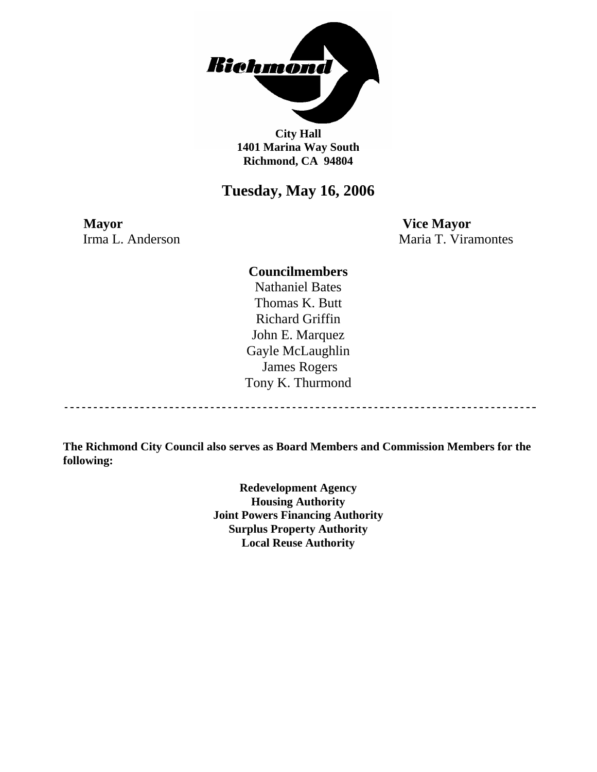

**City Hall 1401 Marina Way South Richmond, CA 94804** 

## **Tuesday, May 16, 2006**

**Mayor Vice Mayor** 

Irma L. Anderson Maria T. Viramontes

### **Councilmembers**

Nathaniel Bates Thomas K. Butt Richard Griffin John E. Marquez Gayle McLaughlin James Rogers Tony K. Thurmond

----------------------------------

**The Richmond City Council also serves as Board Members and Commission Members for the following:** 

> **Redevelopment Agency Housing Authority Joint Powers Financing Authority Surplus Property Authority Local Reuse Authority**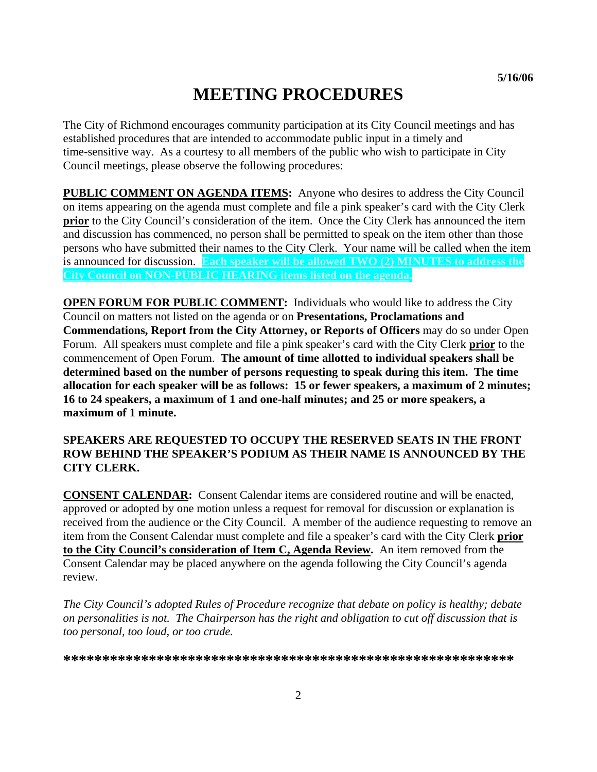# **MEETING PROCEDURES**

The City of Richmond encourages community participation at its City Council meetings and has established procedures that are intended to accommodate public input in a timely and time-sensitive way. As a courtesy to all members of the public who wish to participate in City Council meetings, please observe the following procedures:

**PUBLIC COMMENT ON AGENDA ITEMS:** Anyone who desires to address the City Council on items appearing on the agenda must complete and file a pink speaker's card with the City Clerk **prior** to the City Council's consideration of the item. Once the City Clerk has announced the item and discussion has commenced, no person shall be permitted to speak on the item other than those persons who have submitted their names to the City Clerk. Your name will be called when the item is announced for discussion. **Each speaker will be allowed TWO (2) MINUTES to address the City Council on NON-PUBLIC HEARING items listed on the agenda.** 

**OPEN FORUM FOR PUBLIC COMMENT:** Individuals who would like to address the City Council on matters not listed on the agenda or on **Presentations, Proclamations and Commendations, Report from the City Attorney, or Reports of Officers** may do so under Open Forum. All speakers must complete and file a pink speaker's card with the City Clerk **prior** to the commencement of Open Forum. **The amount of time allotted to individual speakers shall be determined based on the number of persons requesting to speak during this item. The time allocation for each speaker will be as follows: 15 or fewer speakers, a maximum of 2 minutes; 16 to 24 speakers, a maximum of 1 and one-half minutes; and 25 or more speakers, a maximum of 1 minute.** 

### **SPEAKERS ARE REQUESTED TO OCCUPY THE RESERVED SEATS IN THE FRONT ROW BEHIND THE SPEAKER'S PODIUM AS THEIR NAME IS ANNOUNCED BY THE CITY CLERK.**

**CONSENT CALENDAR:** Consent Calendar items are considered routine and will be enacted, approved or adopted by one motion unless a request for removal for discussion or explanation is received from the audience or the City Council. A member of the audience requesting to remove an item from the Consent Calendar must complete and file a speaker's card with the City Clerk **prior to the City Council's consideration of Item C, Agenda Review.** An item removed from the Consent Calendar may be placed anywhere on the agenda following the City Council's agenda review.

*The City Council's adopted Rules of Procedure recognize that debate on policy is healthy; debate on personalities is not. The Chairperson has the right and obligation to cut off discussion that is too personal, too loud, or too crude.* 

**\*\*\*\*\*\*\*\*\*\*\*\*\*\*\*\*\*\*\*\*\*\*\*\*\*\*\*\*\*\*\*\*\*\*\*\*\*\*\*\*\*\*\*\*\*\*\*\*\*\*\*\*\*\*\*\*\*\***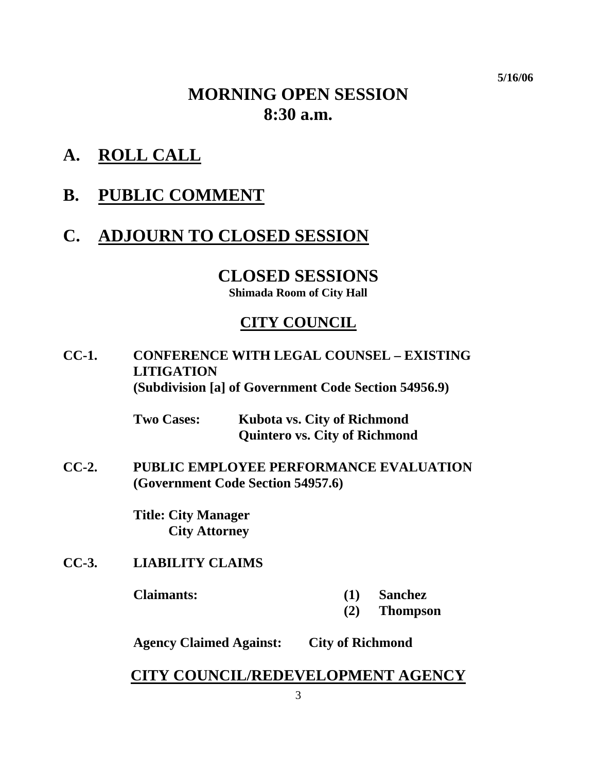**5/16/06** 

# **MORNING OPEN SESSION 8:30 a.m.**

- **A. ROLL CALL**
- **B. PUBLIC COMMENT**

# **C. ADJOURN TO CLOSED SESSION**

# **CLOSED SESSIONS**

**Shimada Room of City Hall** 

## **CITY COUNCIL**

**CC-1. CONFERENCE WITH LEGAL COUNSEL – EXISTING LITIGATION (Subdivision [a] of Government Code Section 54956.9)** 

> **Two Cases: Kubota vs. City of Richmond Quintero vs. City of Richmond**

**CC-2. PUBLIC EMPLOYEE PERFORMANCE EVALUATION (Government Code Section 54957.6)** 

> **Title: City Manager City Attorney**

**CC-3. LIABILITY CLAIMS** 

- **Claimants: (1) Sanchez** 
	- **(2) Thompson**

**Agency Claimed Against: City of Richmond** 

### **CITY COUNCIL/REDEVELOPMENT AGENCY**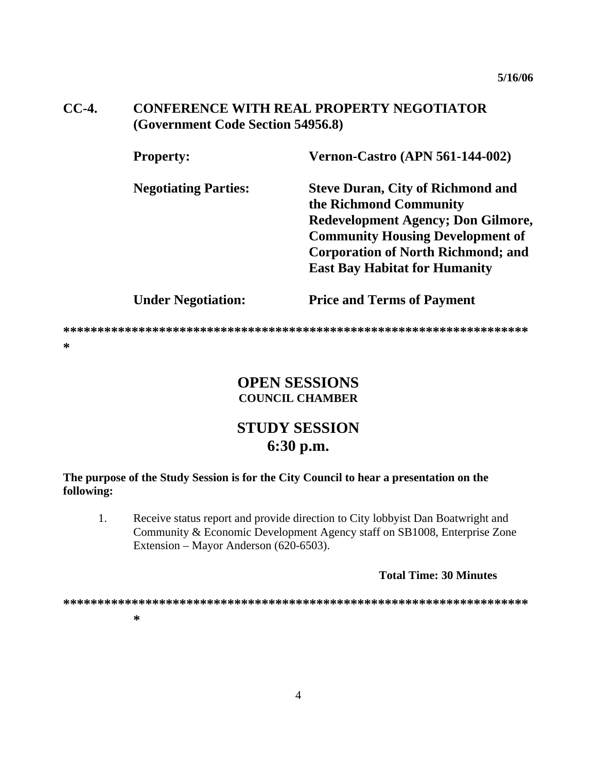#### $CC-4.$ **CONFERENCE WITH REAL PROPERTY NEGOTIATOR** (Government Code Section 54956.8)

| <b>Property:</b>            | <b>Vernon-Castro (APN 561-144-002)</b>    |
|-----------------------------|-------------------------------------------|
| <b>Negotiating Parties:</b> | <b>Steve Duran, City of Richmond and</b>  |
|                             | the Richmond Community                    |
|                             | <b>Redevelopment Agency; Don Gilmore,</b> |
|                             | <b>Community Housing Development of</b>   |
|                             | <b>Corporation of North Richmond; and</b> |
|                             | <b>East Bay Habitat for Humanity</b>      |
| <b>Under Negotiation:</b>   | <b>Price and Terms of Payment</b>         |

## **OPEN SESSIONS COUNCIL CHAMBER**

# **STUDY SESSION** 6:30 p.m.

### The purpose of the Study Session is for the City Council to hear a presentation on the following:

 $1<sup>1</sup>$ Receive status report and provide direction to City lobby ist Dan Boatwright and Community & Economic Development Agency staff on SB1008, Enterprise Zone Extension – Mayor Anderson (620-6503).

#### **Total Time: 30 Minutes**

∗

 $\ast$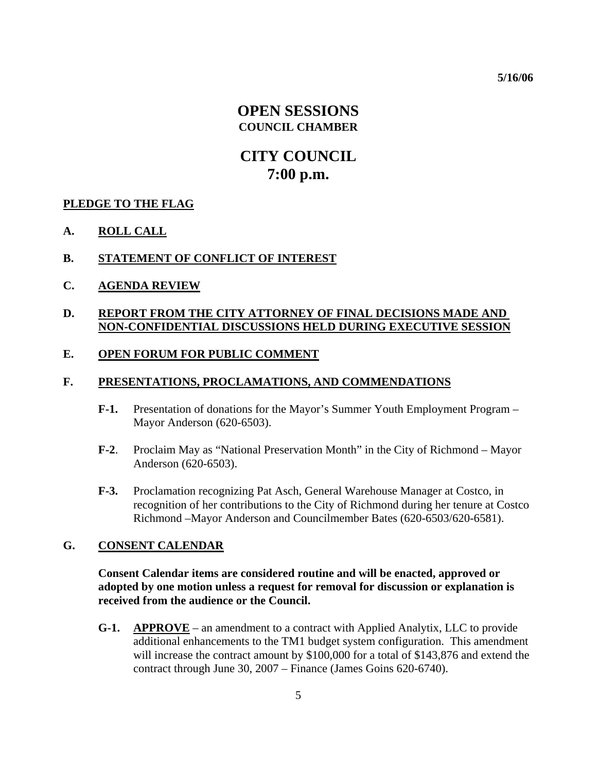**5/16/06** 

### **OPEN SESSIONS COUNCIL CHAMBER**

# **CITY COUNCIL 7:00 p.m.**

### **PLEDGE TO THE FLAG**

**A. ROLL CALL**

### **B. STATEMENT OF CONFLICT OF INTEREST**

**C. AGENDA REVIEW**

### **D. REPORT FROM THE CITY ATTORNEY OF FINAL DECISIONS MADE AND NON-CONFIDENTIAL DISCUSSIONS HELD DURING EXECUTIVE SESSION**

### **E. OPEN FORUM FOR PUBLIC COMMENT**

### **F. PRESENTATIONS, PROCLAMATIONS, AND COMMENDATIONS**

- **F-1.** Presentation of donations for the Mayor's Summer Youth Employment Program Mayor Anderson (620-6503).
- **F-2**. Proclaim May as "National Preservation Month" in the City of Richmond Mayor Anderson (620-6503).
- **F-3.** Proclamation recognizing Pat Asch, General Warehouse Manager at Costco, in recognition of her contributions to the City of Richmond during her tenure at Costco Richmond –Mayor Anderson and Councilmember Bates (620-6503/620-6581).

### **G. CONSENT CALENDAR**

**Consent Calendar items are considered routine and will be enacted, approved or adopted by one motion unless a request for removal for discussion or explanation is received from the audience or the Council.** 

**G-1. APPROVE** – an amendment to a contract with Applied Analytix, LLC to provide additional enhancements to the TM1 budget system configuration. This amendment will increase the contract amount by \$100,000 for a total of \$143,876 and extend the contract through June 30, 2007 – Finance (James Goins 620-6740).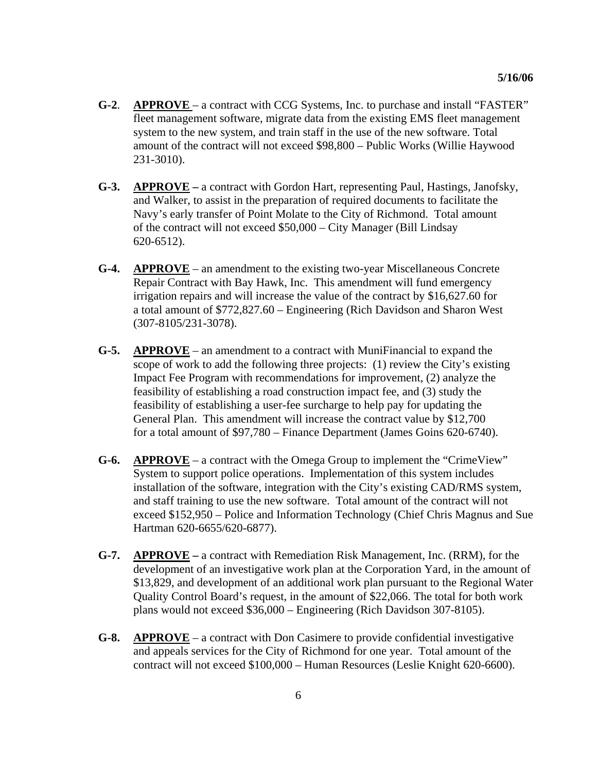- **G-2**. **APPROVE**  a contract with CCG Systems, Inc. to purchase and install "FASTER" fleet management software, migrate data from the existing EMS fleet management system to the new system, and train staff in the use of the new software. Total amount of the contract will not exceed \$98,800 – Public Works (Willie Haywood 231-3010).
- **G-3. APPROVE** a contract with Gordon Hart, representing Paul, Hastings, Janofsky, and Walker, to assist in the preparation of required documents to facilitate the Navy's early transfer of Point Molate to the City of Richmond. Total amount of the contract will not exceed \$50,000 – City Manager (Bill Lindsay 620-6512).
- **G-4. APPROVE** an amendment to the existing two-year Miscellaneous Concrete Repair Contract with Bay Hawk, Inc. This amendment will fund emergency irrigation repairs and will increase the value of the contract by \$16,627.60 for a total amount of \$772,827.60 – Engineering (Rich Davidson and Sharon West (307-8105/231-3078).
- **G-5. APPROVE** an amendment to a contract with MuniFinancial to expand the scope of work to add the following three projects: (1) review the City's existing Impact Fee Program with recommendations for improvement, (2) analyze the feasibility of establishing a road construction impact fee, and (3) study the feasibility of establishing a user-fee surcharge to help pay for updating the General Plan. This amendment will increase the contract value by \$12,700 for a total amount of \$97,780 – Finance Department (James Goins 620-6740).
- **G-6. APPROVE** a contract with the Omega Group to implement the "CrimeView" System to support police operations. Implementation of this system includes installation of the software, integration with the City's existing CAD/RMS system, and staff training to use the new software. Total amount of the contract will not exceed \$152,950 – Police and Information Technology (Chief Chris Magnus and Sue Hartman 620-6655/620-6877).
- **G-7. APPROVE** a contract with Remediation Risk Management, Inc. (RRM), for the development of an investigative work plan at the Corporation Yard, in the amount of \$13,829, and development of an additional work plan pursuant to the Regional Water Quality Control Board's request, in the amount of \$22,066. The total for both work plans would not exceed \$36,000 – Engineering (Rich Davidson 307-8105).
- **G-8. APPROVE** a contract with Don Casimere to provide confidential investigative and appeals services for the City of Richmond for one year. Total amount of the contract will not exceed \$100,000 – Human Resources (Leslie Knight 620-6600).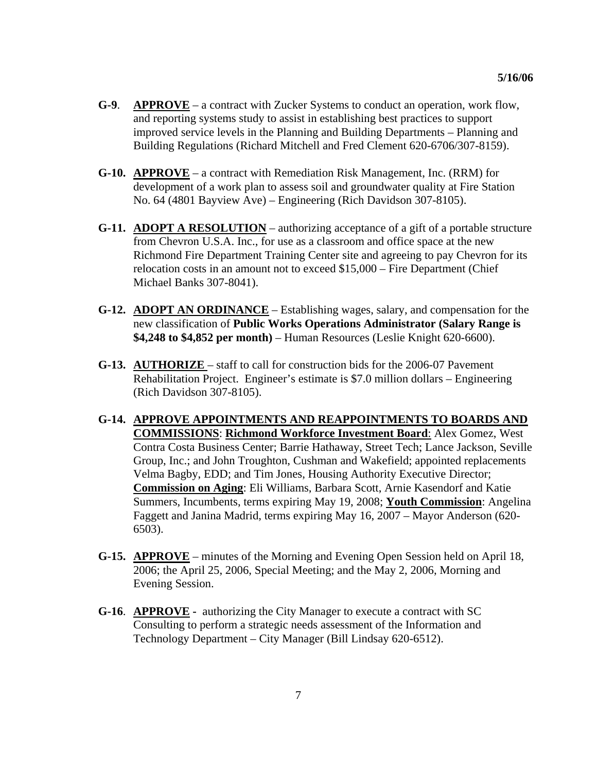- **G-9**. **APPROVE** a contract with Zucker Systems to conduct an operation, work flow, and reporting systems study to assist in establishing best practices to support improved service levels in the Planning and Building Departments – Planning and Building Regulations (Richard Mitchell and Fred Clement 620-6706/307-8159).
- **G-10. APPROVE** a contract with Remediation Risk Management, Inc. (RRM) for development of a work plan to assess soil and groundwater quality at Fire Station No. 64 (4801 Bayview Ave) – Engineering (Rich Davidson 307-8105).
- **G-11. ADOPT A RESOLUTION** authorizing acceptance of a gift of a portable structure from Chevron U.S.A. Inc., for use as a classroom and office space at the new Richmond Fire Department Training Center site and agreeing to pay Chevron for its relocation costs in an amount not to exceed \$15,000 – Fire Department (Chief Michael Banks 307-8041).
- **G-12. ADOPT AN ORDINANCE** Establishing wages, salary, and compensation for the new classification of **Public Works Operations Administrator (Salary Range is \$4,248 to \$4,852 per month)** – Human Resources (Leslie Knight 620-6600).
- **G-13. AUTHORIZE**  staff to call for construction bids for the 2006-07 Pavement Rehabilitation Project. Engineer's estimate is \$7.0 million dollars – Engineering (Rich Davidson 307-8105).
- **G-14. APPROVE APPOINTMENTS AND REAPPOINTMENTS TO BOARDS AND COMMISSIONS**: **Richmond Workforce Investment Board**: Alex Gomez, West Contra Costa Business Center; Barrie Hathaway, Street Tech; Lance Jackson, Seville Group, Inc.; and John Troughton, Cushman and Wakefield; appointed replacements Velma Bagby, EDD; and Tim Jones, Housing Authority Executive Director; **Commission on Aging**: Eli Williams, Barbara Scott, Arnie Kasendorf and Katie Summers, Incumbents, terms expiring May 19, 2008; **Youth Commission**: Angelina Faggett and Janina Madrid, terms expiring May 16, 2007 – Mayor Anderson (620- 6503).
- **G-15. APPROVE** minutes of the Morning and Evening Open Session held on April 18, 2006; the April 25, 2006, Special Meeting; and the May 2, 2006, Morning and Evening Session.
- **G-16**. **APPROVE** authorizing the City Manager to execute a contract with SC Consulting to perform a strategic needs assessment of the Information and Technology Department – City Manager (Bill Lindsay 620-6512).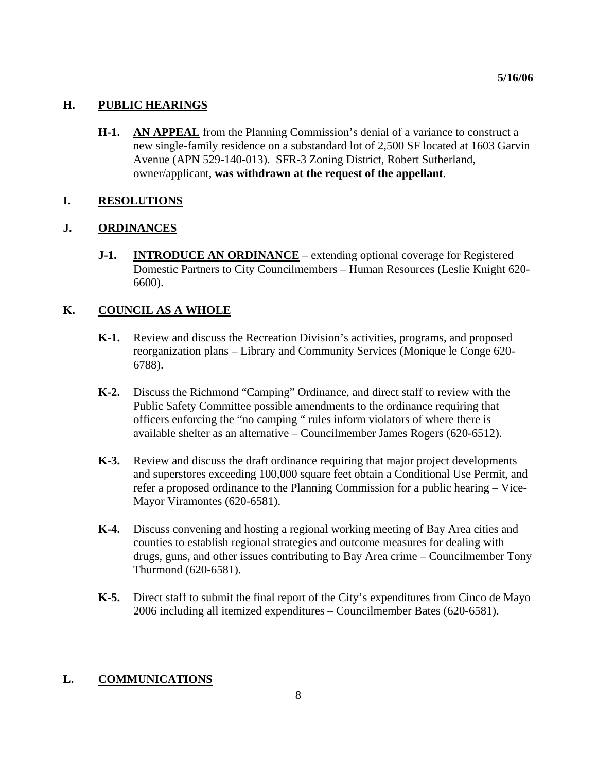### **H. PUBLIC HEARINGS**

**H-1. AN APPEAL** from the Planning Commission's denial of a variance to construct a new single-family residence on a substandard lot of 2,500 SF located at 1603 Garvin Avenue (APN 529-140-013). SFR-3 Zoning District, Robert Sutherland, owner/applicant, **was withdrawn at the request of the appellant**.

### **I. RESOLUTIONS**

### **J. ORDINANCES**

**J-1. INTRODUCE AN ORDINANCE** – extending optional coverage for Registered Domestic Partners to City Councilmembers – Human Resources (Leslie Knight 620- 6600).

### **K. COUNCIL AS A WHOLE**

- **K-1.** Review and discuss the Recreation Division's activities, programs, and proposed reorganization plans – Library and Community Services (Monique le Conge 620- 6788).
- **K-2.** Discuss the Richmond "Camping" Ordinance, and direct staff to review with the Public Safety Committee possible amendments to the ordinance requiring that officers enforcing the "no camping " rules inform violators of where there is available shelter as an alternative – Councilmember James Rogers (620-6512).
- **K-3.** Review and discuss the draft ordinance requiring that major project developments and superstores exceeding 100,000 square feet obtain a Conditional Use Permit, and refer a proposed ordinance to the Planning Commission for a public hearing – Vice-Mayor Viramontes (620-6581).
- **K-4.** Discuss convening and hosting a regional working meeting of Bay Area cities and counties to establish regional strategies and outcome measures for dealing with drugs, guns, and other issues contributing to Bay Area crime – Councilmember Tony Thurmond (620-6581).
- **K-5.** Direct staff to submit the final report of the City's expenditures from Cinco de Mayo 2006 including all itemized expenditures – Councilmember Bates (620-6581).

### **L. COMMUNICATIONS**